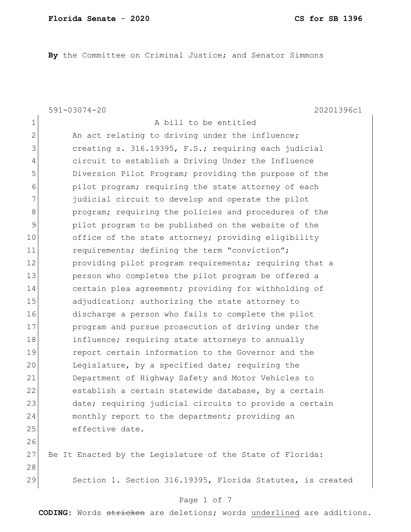**By** the Committee on Criminal Justice; and Senator Simmons

1 a bill to be entitled

591-03074-20 20201396c1

28

2 An act relating to driving under the influence; 3 3 creating s. 316.19395, F.S.; requiring each judicial 4 circuit to establish a Driving Under the Influence 5 Diversion Pilot Program; providing the purpose of the 6 **pilot program;** requiring the state attorney of each 7 3 7 judicial circuit to develop and operate the pilot 8 **program;** requiring the policies and procedures of the 9 pilot program to be published on the website of the 10 office of the state attorney; providing eligibility 11 requirements; defining the term "conviction"; 12 providing pilot program requirements; requiring that a 13 person who completes the pilot program be offered a 14 certain plea agreement; providing for withholding of 15 adjudication; authorizing the state attorney to 16 discharge a person who fails to complete the pilot 17 program and pursue prosecution of driving under the 18 influence; requiring state attorneys to annually 19 **19** report certain information to the Governor and the 20 Legislature, by a specified date; requiring the 21 Department of Highway Safety and Motor Vehicles to 22 establish a certain statewide database, by a certain 23 date; requiring judicial circuits to provide a certain 24 monthly report to the department; providing an 25 effective date. 26 27 Be It Enacted by the Legislature of the State of Florida:

29 Section 1. Section 316.19395, Florida Statutes, is created

#### Page 1 of 7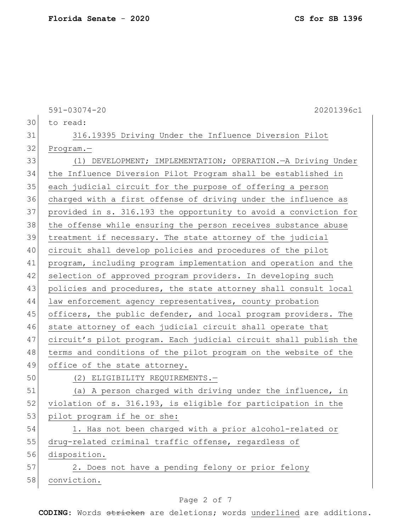591-03074-20 20201396c1 30 to read: 31 316.19395 Driving Under the Influence Diversion Pilot 32 Program.— 33 (1) DEVELOPMENT; IMPLEMENTATION; OPERATION.—A Driving Under 34 the Influence Diversion Pilot Program shall be established in 35 each judicial circuit for the purpose of offering a person 36 charged with a first offense of driving under the influence as 37 provided in s. 316.193 the opportunity to avoid a conviction for 38 the offense while ensuring the person receives substance abuse 39 treatment if necessary. The state attorney of the judicial 40 circuit shall develop policies and procedures of the pilot 41 program, including program implementation and operation and the 42 selection of approved program providers. In developing such 43 policies and procedures, the state attorney shall consult local 44 law enforcement agency representatives, county probation 45 officers, the public defender, and local program providers. The 46 state attorney of each judicial circuit shall operate that 47 circuit's pilot program. Each judicial circuit shall publish the 48 terms and conditions of the pilot program on the website of the 49 office of the state attorney. 50 (2) ELIGIBILITY REQUIREMENTS.— 51 (a) A person charged with driving under the influence, in 52 violation of s. 316.193, is eligible for participation in the 53 pilot program if he or she: 54 1. Has not been charged with a prior alcohol-related or 55 drug-related criminal traffic offense, regardless of 56 disposition. 57 2. Does not have a pending felony or prior felony 58 conviction.

#### Page 2 of 7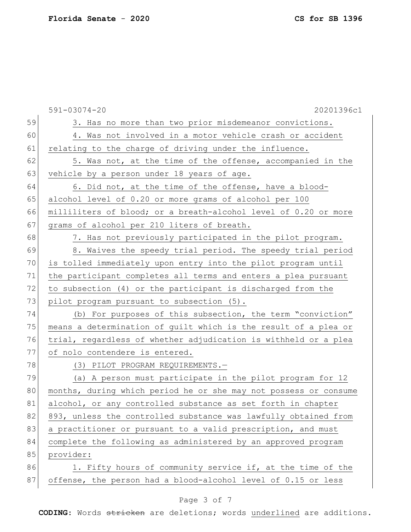|    | $591 - 03074 - 20$<br>20201396c1                                 |
|----|------------------------------------------------------------------|
| 59 | 3. Has no more than two prior misdemeanor convictions.           |
| 60 | 4. Was not involved in a motor vehicle crash or accident         |
| 61 | relating to the charge of driving under the influence.           |
| 62 | 5. Was not, at the time of the offense, accompanied in the       |
| 63 | vehicle by a person under 18 years of age.                       |
| 64 | 6. Did not, at the time of the offense, have a blood-            |
| 65 | alcohol level of 0.20 or more grams of alcohol per 100           |
| 66 | milliliters of blood; or a breath-alcohol level of 0.20 or more  |
| 67 | grams of alcohol per 210 liters of breath.                       |
| 68 | 7. Has not previously participated in the pilot program.         |
| 69 | 8. Waives the speedy trial period. The speedy trial period       |
| 70 | is tolled immediately upon entry into the pilot program until    |
| 71 | the participant completes all terms and enters a plea pursuant   |
| 72 | to subsection (4) or the participant is discharged from the      |
| 73 | pilot program pursuant to subsection (5).                        |
| 74 | (b) For purposes of this subsection, the term "conviction"       |
| 75 | means a determination of guilt which is the result of a plea or  |
| 76 | trial, regardless of whether adjudication is withheld or a plea  |
| 77 | of nolo contendere is entered.                                   |
| 78 | (3) PILOT PROGRAM REQUIREMENTS.-                                 |
| 79 | (a) A person must participate in the pilot program for 12        |
| 80 | months, during which period he or she may not possess or consume |
| 81 | alcohol, or any controlled substance as set forth in chapter     |
| 82 | 893, unless the controlled substance was lawfully obtained from  |
| 83 | a practitioner or pursuant to a valid prescription, and must     |
| 84 | complete the following as administered by an approved program    |
| 85 | provider:                                                        |
| 86 | 1. Fifty hours of community service if, at the time of the       |
| 87 | offense, the person had a blood-alcohol level of 0.15 or less    |
|    |                                                                  |

# Page 3 of 7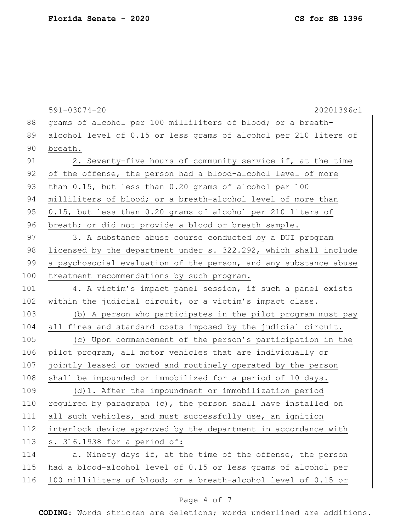|     | $591 - 03074 - 20$<br>20201396c1                                 |
|-----|------------------------------------------------------------------|
| 88  | grams of alcohol per 100 milliliters of blood; or a breath-      |
| 89  | alcohol level of 0.15 or less grams of alcohol per 210 liters of |
| 90  | breath.                                                          |
| 91  | 2. Seventy-five hours of community service if, at the time       |
| 92  | of the offense, the person had a blood-alcohol level of more     |
| 93  | than 0.15, but less than 0.20 grams of alcohol per 100           |
| 94  | milliliters of blood; or a breath-alcohol level of more than     |
| 95  | 0.15, but less than 0.20 grams of alcohol per 210 liters of      |
| 96  | breath; or did not provide a blood or breath sample.             |
| 97  | 3. A substance abuse course conducted by a DUI program           |
| 98  | licensed by the department under s. 322.292, which shall include |
| 99  | a psychosocial evaluation of the person, and any substance abuse |
| 100 | treatment recommendations by such program.                       |
| 101 | 4. A victim's impact panel session, if such a panel exists       |
| 102 | within the judicial circuit, or a victim's impact class.         |
| 103 | (b) A person who participates in the pilot program must pay      |
| 104 | all fines and standard costs imposed by the judicial circuit.    |
| 105 | (c) Upon commencement of the person's participation in the       |
| 106 | pilot program, all motor vehicles that are individually or       |
| 107 | jointly leased or owned and routinely operated by the person     |
| 108 | shall be impounded or immobilized for a period of 10 days.       |
| 109 | $(d) 1.$ After the impoundment or immobilization period          |
| 110 | required by paragraph (c), the person shall have installed on    |
| 111 | all such vehicles, and must successfully use, an ignition        |
| 112 | interlock device approved by the department in accordance with   |
| 113 | s. 316.1938 for a period of:                                     |
| 114 | a. Ninety days if, at the time of the offense, the person        |
| 115 | had a blood-alcohol level of 0.15 or less grams of alcohol per   |
| 116 | 100 milliliters of blood; or a breath-alcohol level of 0.15 or   |
|     |                                                                  |

# Page 4 of 7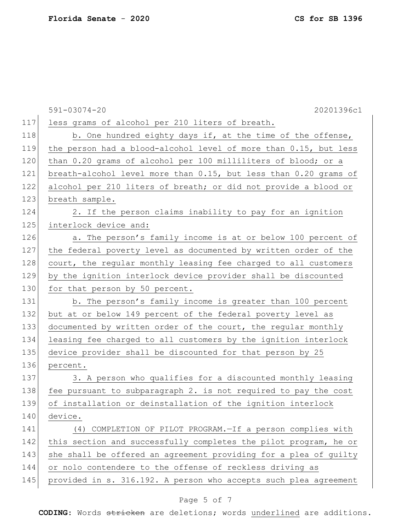|     | 20201396c1<br>$591 - 03074 - 20$                                 |
|-----|------------------------------------------------------------------|
| 117 | less grams of alcohol per 210 liters of breath.                  |
| 118 | b. One hundred eighty days if, at the time of the offense,       |
| 119 | the person had a blood-alcohol level of more than 0.15, but less |
| 120 | than 0.20 grams of alcohol per 100 milliliters of blood; or a    |
| 121 | breath-alcohol level more than 0.15, but less than 0.20 grams of |
| 122 | alcohol per 210 liters of breath; or did not provide a blood or  |
| 123 | breath sample.                                                   |
| 124 | 2. If the person claims inability to pay for an ignition         |
| 125 | interlock device and:                                            |
| 126 | a. The person's family income is at or below 100 percent of      |
| 127 | the federal poverty level as documented by written order of the  |
| 128 | court, the regular monthly leasing fee charged to all customers  |
| 129 | by the ignition interlock device provider shall be discounted    |
| 130 | for that person by 50 percent.                                   |
| 131 | b. The person's family income is greater than 100 percent        |
| 132 | but at or below 149 percent of the federal poverty level as      |
| 133 | documented by written order of the court, the regular monthly    |
| 134 | leasing fee charged to all customers by the ignition interlock   |
| 135 | device provider shall be discounted for that person by 25        |
| 136 | percent.                                                         |
| 137 | 3. A person who qualifies for a discounted monthly leasing       |
| 138 | fee pursuant to subparagraph 2. is not required to pay the cost  |
| 139 | of installation or deinstallation of the ignition interlock      |
| 140 | device.                                                          |
| 141 | (4) COMPLETION OF PILOT PROGRAM.-If a person complies with       |
| 142 | this section and successfully completes the pilot program, he or |
| 143 | she shall be offered an agreement providing for a plea of guilty |
| 144 | or nolo contendere to the offense of reckless driving as         |
| 145 | provided in s. 316.192. A person who accepts such plea agreement |
|     |                                                                  |

# Page 5 of 7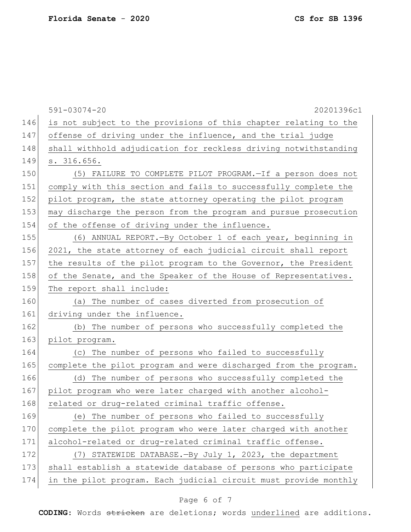|     | $591 - 03074 - 20$<br>20201396c1                                 |
|-----|------------------------------------------------------------------|
| 146 | is not subject to the provisions of this chapter relating to the |
| 147 | offense of driving under the influence, and the trial judge      |
| 148 | shall withhold adjudication for reckless driving notwithstanding |
| 149 | s. 316.656.                                                      |
| 150 | (5) FAILURE TO COMPLETE PILOT PROGRAM. - If a person does not    |
| 151 | comply with this section and fails to successfully complete the  |
| 152 | pilot program, the state attorney operating the pilot program    |
| 153 | may discharge the person from the program and pursue prosecution |
| 154 | of the offense of driving under the influence.                   |
| 155 | (6) ANNUAL REPORT. - By October 1 of each year, beginning in     |
| 156 | 2021, the state attorney of each judicial circuit shall report   |
| 157 | the results of the pilot program to the Governor, the President  |
| 158 | of the Senate, and the Speaker of the House of Representatives.  |
| 159 | The report shall include:                                        |
| 160 | (a) The number of cases diverted from prosecution of             |
| 161 | driving under the influence.                                     |
| 162 | (b) The number of persons who successfully completed the         |
| 163 | pilot program.                                                   |
| 164 | (c) The number of persons who failed to successfully             |
| 165 | complete the pilot program and were discharged from the program. |
| 166 | (d) The number of persons who successfully completed the         |
| 167 | pilot program who were later charged with another alcohol-       |
| 168 | related or drug-related criminal traffic offense.                |
| 169 | (e) The number of persons who failed to successfully             |
| 170 | complete the pilot program who were later charged with another   |
| 171 | alcohol-related or drug-related criminal traffic offense.        |
| 172 | (7) STATEWIDE DATABASE. - By July 1, 2023, the department        |
| 173 | shall establish a statewide database of persons who participate  |
| 174 | in the pilot program. Each judicial circuit must provide monthly |

# Page 6 of 7